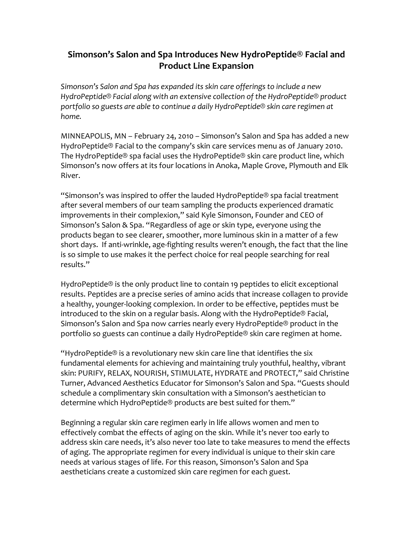## Simonson's Salon and Spa Introduces New HydroPeptide<sup>®</sup> Facial and **Product Line Expansion**

*Simonson's(Salon(and(Spa(has(expanded(its(skin care(offerings(to(include(a(new(* HydroPeptide<sup>®</sup> Facial along with an extensive collection of the HydroPeptide® product portfolio so guests are able to continue a daily HydroPeptide® skin care regimen at *home.*

MINNEAPOLIS, MN – February 24, 2010 – Simonson's Salon and Spa has added a new HydroPeptide® Facial to the company's skin care services menu as of January 2010. The HydroPeptide® spa facial uses the HydroPeptide® skin care product line, which Simonson's now offers at its four locations in Anoka, Maple Grove, Plymouth and Elk River.

"Simonson's was inspired to offer the lauded HydroPeptide® spa facial treatment after several members of our team sampling the products experienced dramatic improvements in their complexion," said Kyle Simonson, Founder and CEO of Simonson's Salon & Spa. "Regardless of age or skin type, everyone using the products began to see clearer, smoother, more luminous skin in a matter of a few short days. If anti-wrinkle, age-fighting results weren't enough, the fact that the line is so simple to use makes it the perfect choice for real people searching for real results."

HydroPeptide® is the only product line to contain 19 peptides to elicit exceptional results. Peptides are a precise series of amino acids that increase collagen to provide a healthy, younger-looking complexion. In order to be effective, peptides must be introduced to the skin on a regular basis. Along with the HydroPeptide® Facial, Simonson's Salon and Spa now carries nearly every HydroPeptide® product in the portfolio so guests can continue a daily HydroPeptide® skin care regimen at home.

"HydroPeptide® is a revolutionary new skin care line that identifies the six fundamental elements for achieving and maintaining truly youthful, healthy, vibrant skin: PURIFY, RELAX, NOURISH, STIMULATE, HYDRATE and PROTECT," said Christine Turner, Advanced Aesthetics Educator for Simonson's Salon and Spa. "Guests should schedule a complimentary skin consultation with a Simonson's aesthetician to determine which HydroPeptide® products are best suited for them."

Beginning a regular skin care regimen early in life allows women and men to effectively combat the effects of aging on the skin. While it's never too early to address skin care needs, it's also never too late to take measures to mend the effects of aging. The appropriate regimen for every individual is unique to their skin care needs at various stages of life. For this reason, Simonson's Salon and Spa aestheticians create a customized skin care regimen for each guest.